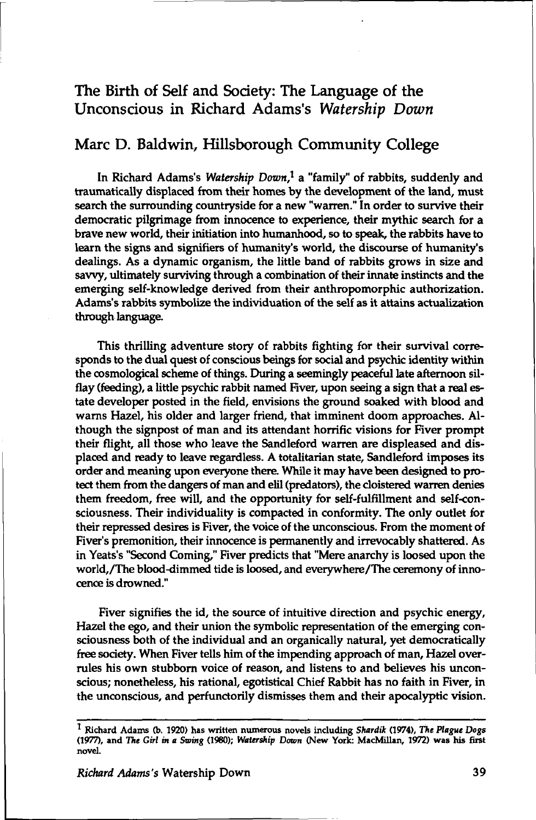## The Birth of Self and Society: The Language of the Unconscious in Richard Adams's *Watership Down*

## Marc D. Baldwin, Hillsborough Community College

In Richard Adams's *Watership Down,<sup>1</sup>* a "family" of rabbits, suddenly and traumatically displaced from their homes by the development of the land, must search the surrounding countryside for a new "warren." In order to survive their democratic pilgrimage from innocence to experience, their mythic search for a brave new world, their initiation into humanhood, so to speak, the rabbits have to learn the signs and signifiers of humanity's world, the discourse of humanity's dealings. As a dynamic organism, the little band of rabbits grows in size and savvy, ultimately surviving through a combination of their innate instincts and the emerging self-knowledge derived from their anthropomorphic authorization. Adams's rabbits symbolize the individuation of the self as it attains actualization through language.

This thrilling adventure story of rabbits fighting for their survival corresponds to the dual quest of conscious beings for social and psychic identity within the cosmological scheme of things. During a seemingly peaceful late afternoon silflay (feeding), a little psychic rabbit named Fiver, upon seeing a sign that a real estate developer posted in the field, envisions the ground soaked with blood and warns Hazel, his older and larger friend, that imminent doom approaches. Although the signpost of man and its attendant horrific visions for Fiver prompt their flight, all those who leave the Sandleford warren are displeased and displaced and ready to leave regardless. A totalitarian state, Sandleford imposes its order and meaning upon everyone there While it may have been designed to protect them from the dangers of man and elil (predators), the cloistered warren denies them freedom, free will, and the opportunity for self-fulfillment and self-consciousness. Their individuality is compacted in conformity. The only outlet for their repressed desires is Fiver, the voice of the unconscious. From the moment of Fiver's premonition, their innocence is permanently and irrevocably shattered. As in Yeats's "Second Coming," Fiver predicts that "Mere anarchy is loosed upon the world,/The blood-dimmed tide is loosed, and everywhere/The ceremony of innocence is drowned."

Fiver signifies the id, the source of intuitive direction and psychic energy, Hazel the ego, and their union the symbolic representation of the emerging consciousness both of the individual and an organically natural, yet democratically free society. When Fiver tells him of the impending approach of man, Hazel overrules his own stubborn voice of reason, and listens to and believes his unconscious; nonetheless, his rational, egotistical Chief Rabbit has no faith in Fiver, in the unconscious, and perfunctorily dismisses them and their apocalyptic vision.

**<sup>1</sup> Richard Adams (b. 1920) has written numerous novels including** *Shardik* **(1974),** *the Plague Dogs*  **(1977), and** *The Girl in a Swing* **(1980);** *Watership Down* **(New York: MacMillan, 1972) was his first novel.**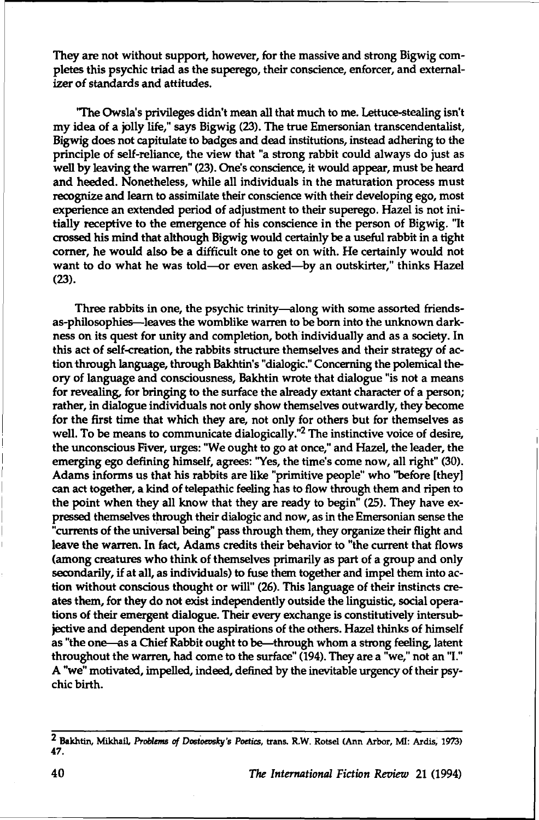They are not without support, however, for the massive and strong Bigwig completes this psychic triad as the superego, their conscience, enforcer, and externalizer of standards and attitudes.

"The Owsla's privileges didn't mean all that much to me. Lettuce-stealing isn't my idea of a jolly life," says Bigwig (23). The true Emersonian transcendentalist, Bigwig does not capitulate to badges and dead institutions, instead adhering to the principle of self-reliance, the view that "a strong rabbit could always do just as well by leaving the warren" (23). One's conscience, it would appear, must be heard and heeded. Nonetheless, while all individuals in the maturation process must recognize and learn to assimilate their conscience with their developing ego, most experience an extended period of adjustment to their superego. Hazel is not initially receptive to the emergence of his conscience in the person of Bigwig. "It crossed his mind that although Bigwig would certainly be a useful rabbit in a tight corner, he would also be a difficult one to get on with. He certainly would not want to do what he was told—or even asked—by an outskirter," thinks Hazel (23).

Three rabbits in one, the psychic trinity—along with some assorted friendsas-philosophies—leaves the womblike warren to be born into the unknown darkness on its quest for unity and completion, both individually and as a society. In this act of self-creation, the rabbits structure themselves and their strategy of action through language, through Bakhtin's "dialogic." Concerning the polemical theory of language and consciousness, Bakhtin wrote that dialogue "is not a means for revealing, for bringing to the surface the already extant character of a person; rather, in dialogue individuals not only show themselves outwardly, they become for the first time that which they are, not only for others but for themselves as well. To be means to communicate dialogically."<sup>2</sup> The instinctive voice of desire, the unconscious Fiver, urges: "We ought to go at once," and Hazel, the leader, the emerging ego defining himself, agrees: "Yes, the time's come now, all right" (30). Adams informs us that his rabbits are like "primitive people" who "before [they] can act together, a kind of telepathic feeling has to flow through them and ripen to the point when they all know that they are ready to begin" (25). They have expressed themselves through their dialogic and now, as in the Emersonian sense the "currents of the universal being" pass through them, they organize their flight and leave the warren. In fact, Adams credits their behavior to "the current that flows (among creatures who think of themselves primarily as part of a group and only secondarily, if at all, as individuals) to fuse them together and impel them into action without conscious thought or will" (26). This language of their instincts creates them, for they do not exist independently outside the linguistic, social operations of their emergent dialogue. Their every exchange is constitutively intersubjective and dependent upon the aspirations of the others. Hazel thinks of himself as "the one—as a Chief Rabbit ought to be—through whom a strong feeling, latent throughout the warren, had come to the surface" (194). They are a "we," not an "I." A "we" motivated, impelled, indeed, defined by the inevitable urgency of their psychic birth.

**<sup>2</sup> Bakhtin, Mikhail,** *Problems of Dosioevsh/'s Poetics,* **trans. R.W. Rotsel (Ann Arbor, MI: Ardis, 1973) 47.**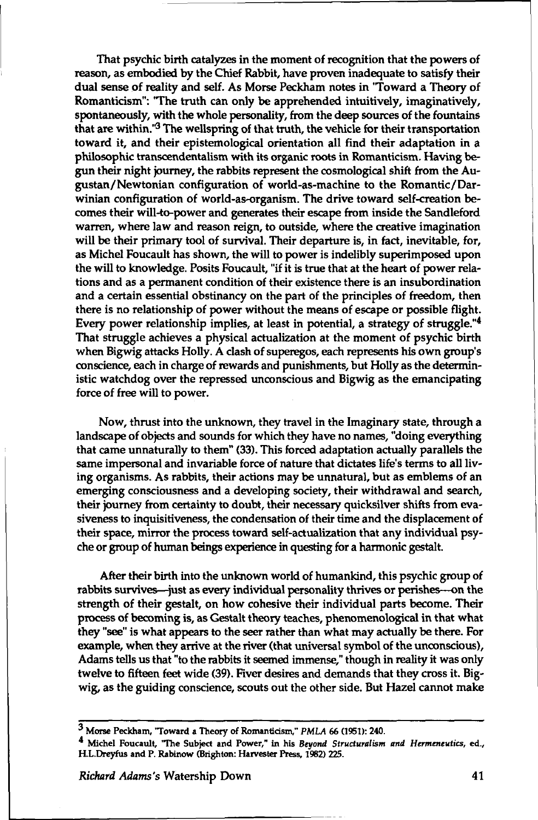That psychic birth catalyzes in the moment of recognition that the powers of reason, as embodied by the Chief Rabbit, have proven inadequate to satisfy their dual sense of reality and self. As Morse Peckham notes in "Toward a Theory of Romanticism": 'The truth can only be apprehended intuitively, imaginatively, spontaneously, with the whole personality, from the deep sources of the fountains that are within."<sup>3</sup> The wellspring of that truth, the vehicle for their transportation toward it, and their epistemological orientation all find their adaptation in a philosophic transcendentalism with its organic roots in Romanticism. Having begun their night journey, the rabbits represent the cosmological shift from the Augustan/Newtonian configuration of world-as-machine to the Romantic/Darwinian configuration of world-as-organism. The drive toward self-creation becomes their will-to-power and generates their escape from inside the Sandleford warren, where law and reason reign, to outside, where the creative imagination will be their primary tool of survival. Their departure is, in fact, inevitable, for, as Michel Foucault has shown, the will to power is indelibly superimposed upon the will to knowledge. Posits Foucault, "if it is true that at the heart of power relations and as a permanent condition of their existence there is an insubordination and a certain essential obstinancy on the part of the principles of freedom, then there is no relationship of power without the means of escape or possible flight. Every power relationship implies, at least in potential, a strategy of struggle." $\frac{4}{3}$ That struggle achieves a physical actualization at the moment of psychic birth when Bigwig attacks Holly. A clash of superegos, each represents his own group's conscience, each in charge of rewards and punishments, but Holly as the deterministic watchdog over the repressed unconscious and Bigwig as the emancipating force of free will to power.

Now, thrust into the unknown, they travel in the Imaginary state, through a landscape of objects and sounds for which they have no names, "doing everything that came unnaturally to them" (33). This forced adaptation actually parallels the same impersonal and invariable force of nature that dictates life's terms to all living organisms. As rabbits, their actions may be unnatural, but as emblems of an emerging consciousness and a developing society, their withdrawal and search, their journey from certainty to doubt, their necessary quicksilver shifts from evasiveness to inquisitiveness, the condensation of their time and the displacement of their space, mirror the process toward self-actualization that any individual psyche or group of human beings experience in questing for a harmonic gestalt.

After their birth into the unknown world of humankind, this psychic group of rabbits survives—just as every individual personality thrives or perishes—on the strength of their gestalt, on how cohesive their individual parts become. Their process of becoming is, as Gestalt theory teaches, phenomenological in that what they "see" is what appears to the seer rather than what may actually be there. For example, when they arrive at the river (that universal symbol of the unconscious), Adams tells us that "to the rabbits it seemed immense," though in reality it was only twelve to fifteen feet wide (39). Fiver desires and demands that they cross it. Bigwig, as the guiding conscience, scouts out the other side. But Hazel cannot make

**<sup>3</sup> Morse Peckham, Toward a Theory of Romanticism,"** *PMLA* **66 (1951): 240.** 

**Michel Foucault, The Subject and Power," in his** *Beyond Structuralism and Hermeneutics,* **ed., RL.Dreyfus and P. Rabinow (Brighton: Harvester Press, 1982) 225.**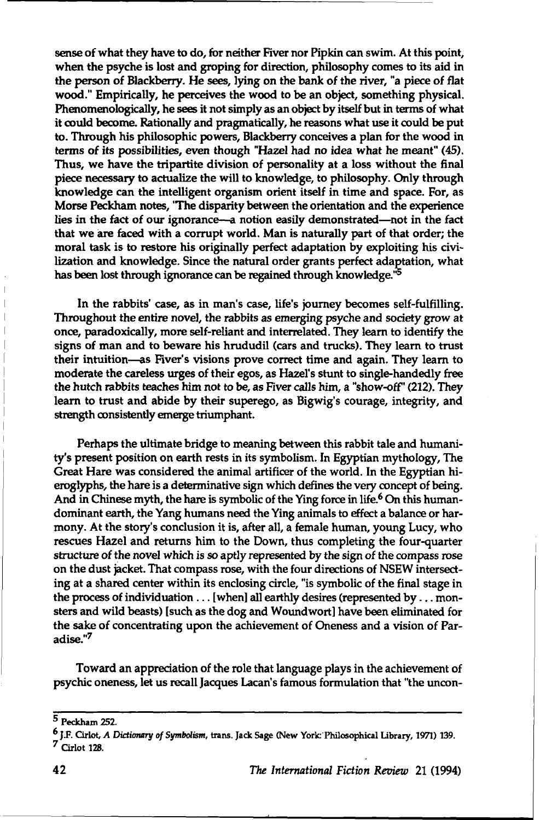sense of what they have to do, for neither Fiver nor Pipkin can swim. At this point, when the psyche is lost and groping for direction, philosophy comes to its aid in the person of Blackberry. He sees, lying on the bank of the river, "a piece of flat wood." Empirically, he perceives the wood to be an object, something physical. Phenomenologically, he sees it not simply as an object by itself but in terms of what it could become. Rationally and pragmatically, he reasons what use it could be put to. Through his philosophic powers, Blackberry conceives a plan for the wood in terms of its possibilities, even though "Hazel had no idea what he meant" (45). Thus, we have the tripartite division of personality at a loss without the final piece necessary to actualize the will to knowledge, to philosophy. Only through knowledge can the intelligent organism orient itself in time and space. For, as Morse Peckham notes, 'The disparity between the orientation and the experience lies in the fact of our ignorance—a notion easily demonstrated—not in the fact that we are faced with a corrupt world. Man is naturally part of that order; the moral task is to restore his originally perfect adaptation by exploiting his civilization and knowledge. Since the natural order grants perfect adaptation, what has been lost through ignorance can be regained through knowledge.<sup>15</sup>

In the rabbits' case, as in man's case, life's journey becomes self-fulfilling. Throughout the entire novel, the rabbits as emerging psyche and society grow at once, paradoxically, more self-reliant and interrelated. They leam to identify the signs of man and to beware his hrududil (cars and trucks). They learn to trust their intuition—as Fiver's visions prove correct time and again. They learn to moderate the careless urges of their egos, as Hazel's stunt to single-handedly free the hutch rabbits teaches him not to be, as Fiver calls him, a "show-off' (212). They learn to trust and abide by their superego, as Bigwig's courage, integrity, and strength consistently emerge triumphant.

Perhaps the ultimate bridge to meaning between this rabbit tale and humanity's present position on earth rests in its symbolism. In Egyptian mythology, The Great Hare was considered the animal artificer of the world. In the Egyptian hieroglyphs, the hare is a determinative sign which defines the very concept of being. And in Chinese myth, the hare is symbolic of the Ying force in life.<sup>6</sup> On this humandominant earth, the Yang humans need the Ying animals to effect a balance or harmony. At the story's conclusion it is, after all, a female human, young Lucy, who rescues Hazel and returns him to the Down, thus completing the four-quarter structure of the novel which is so aptly represented by the sign of the compass rose on the dust jacket. That compass rose, with the four directions of NSEW intersecting at a shared center within its enclosing circle, "is symbolic of the final stage in the process of individuation... [when] all earthly desires (represented by.. . monsters and wild beasts) [such as the dog and Woundwort] have been eliminated for the sake of concentrating upon the achievement of Oneness and a vision of Paradise."<sup>7</sup>

Toward an appreciation of the role that language plays in the achievement of psychic oneness, let us recall Jacques Lacan's famous formulation that "the uncon-

**<sup>5</sup> Peckham 252.** 

**<sup>6</sup> J.F. Cirlot,** *A Dictionary of Symbolism,* **trans. Jack Sage (New York: Philosophical Library, 1971) 139. 7 Cirlot 128.**